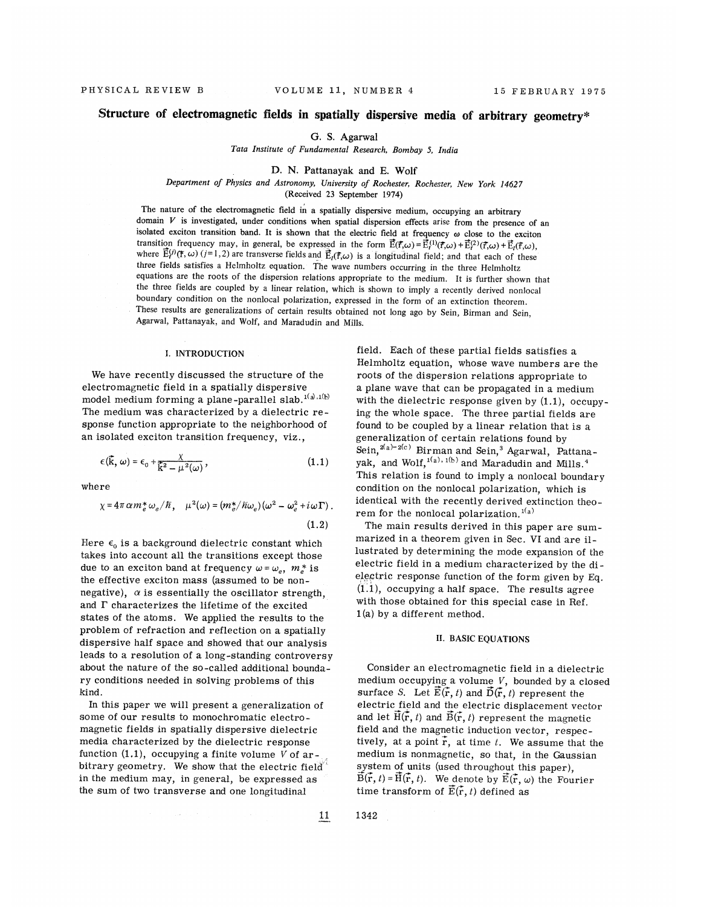# Structure of electromagnetic fields in spatially dispersive media of arbitrary geometry\*

6. S. Agarwal

Tata Institute of Fundamenta1 Research, Bombay 5, India

D. N. Pattanayak and E. Wolf

Department of Physics and Astronomy, University of Rochester, Rochester, New York 14627

(Received 23 September 1974)

The nature of the electromagnetic field in a spatially dispersive medium, occupying an arbitrar domain  $V$  is investigated, under conditions when spatial dispersion effects arise from the presence of an isolated exciton transition band. It is shown that the electric field at frequency  $\omega$  close to the exciton transition frequency may, in general, be expressed in the form  $\vec{E}(\vec{r},\omega) = \vec{E}_t^{(1)}(\vec{r},\omega) + \vec{E}_t^{(2)}(\vec{r},\omega) + \vec{E}_t(\vec{r},\omega)$ , where  $\vec{E}_i^{(j)}(\mathbf{f}, \omega)$  ( $j=1, 2$ ) are transverse fields and  $\vec{E}_i(\mathbf{f}, \omega)$  is a longitudinal field; and that each of these three fields satisfies a Helmholtz equation. The wave numbers occurring in the three Helmholtz equations are the roots of the dispersion relations appropriate to the medium. It is further shown that the three fields are coupled by <sup>a</sup> linear relation, which is shown to imply <sup>a</sup> recently derived nonlocal boundary condition on the nonlocal polarization, expressed in the form of an extinction theorem. These results are generalizations of certain results obtained not long ago by Sein, Birman and Sein, Agarwal, Pattanayak, and Wolf, and Maradudin and Mills.

#### I. INTRODUCTION

We have recently discussed the structure of the electromagnetic field in a spatially dispersive model medium forming a plane-parallel slab.  $^{1(a),1(b)}$ The medium was characterized by a dielectric response function appropriate to the neighborhood of an isolated exciton transition frequency, viz. ,

$$
\epsilon(\vec{k},\,\omega) = \epsilon_0 + \frac{\chi}{\vec{k}^2 - \mu^2(\omega)},\tag{1.1}
$$

where

$$
\chi = 4\pi \alpha m_e^* \omega_e / \hbar, \quad \mu^2(\omega) = (m_e^* / \hbar \omega_e) (\omega^2 - \omega_e^2 + i\omega \Gamma).
$$
\n(1.2)

Here  $\epsilon_0$  is a background dielectric constant which takes into account all the transitions except those due to an exciton band at frequency  $\omega = \omega_e$ ,  $m_e^*$  is the effective exciton mass (assumed to be nonnegative),  $\alpha$  is essentially the oscillator strength, and  $\Gamma$  characterizes the lifetime of the excited states of the atoms. We applied the results to the problem of refraction and reflection on a spatially dispersive half space and showed that our analysis leads to a resolution of a long-standing controversy about the nature of the so-called additional boundary conditions needed in solving problems of this kind.

In this payer we will present a generalization of some of our results to monochromatic electromagnetic fields in spatially dispersive dielectric media characterized by the dielectric response function  $(1.1)$ , occupying a finite volume V of arbitrary geometry. We show that the electric field<sup>1</sup> in the medium may, in general, be expressed as the sum of two transverse and one longitudinal

field. Each of these partial fields satisfies a Helmholtz equation, whose wave numbers are the roots of the dispersion relations appropriate to a plane wave that can be propagated in a medium with the dielectric response given by  $(1.1)$ , occupying the whole space. The three partial fields are found to be coupled by a linear relation that is a generalization of certain relations found by Sein,  $a^{2(a)-2(c)}$  Birman and Sein,<sup>3</sup> Agarwal, Pattanayak, and Wolf,  $1(a)$ ,  $1(b)$  and Maradudin and Mills.<sup>4</sup> This relation is found to imply a nonlocal boundary condition on the nonlocal polarization, which is identical with the recently derived extinction theorem for the nonlocal polarization.  $I(a)$ 

The main results derived in this paper are summarized in a theorem given in Sec. VI and are illustrated by determining the mode expansion of the electric field in a medium characterized by the dielectric response function of the form given by Eq. (1.1), occupying a half space. The results agree with those obtained for this special case in Ref. 1(a) by a different method.

#### **II. BASIC EQUATIONS**

Consider an electromagnetic field in a dielectric medium occupying a volume  $V$ , bounded by a closed surface S. Let  $\vec{E}(\vec{r}, t)$  and  $\vec{D}(\vec{r}, t)$  represent the electric field and the electric displacement vector and let  $\overline{H}(\overline{r}, t)$  and  $\overline{B}(\overline{r}, t)$  represent the magnetic field and the magnetic induction vector, respectively, at a point  $\mathbf{r}$ , at time t. We assume that the medium is nonmagnetic, so that, in the Gaussian system of units (used throughout this paper),  $\overline{B}(\overline{r}, t) = \overline{H}(\overline{r}, t)$ . We denote by  $\overline{E}(\overline{r}, \omega)$  the Fourier time transform of  $\vec{E}(\vec{r}, t)$  defined as

1342

 $11\phantom{.0}$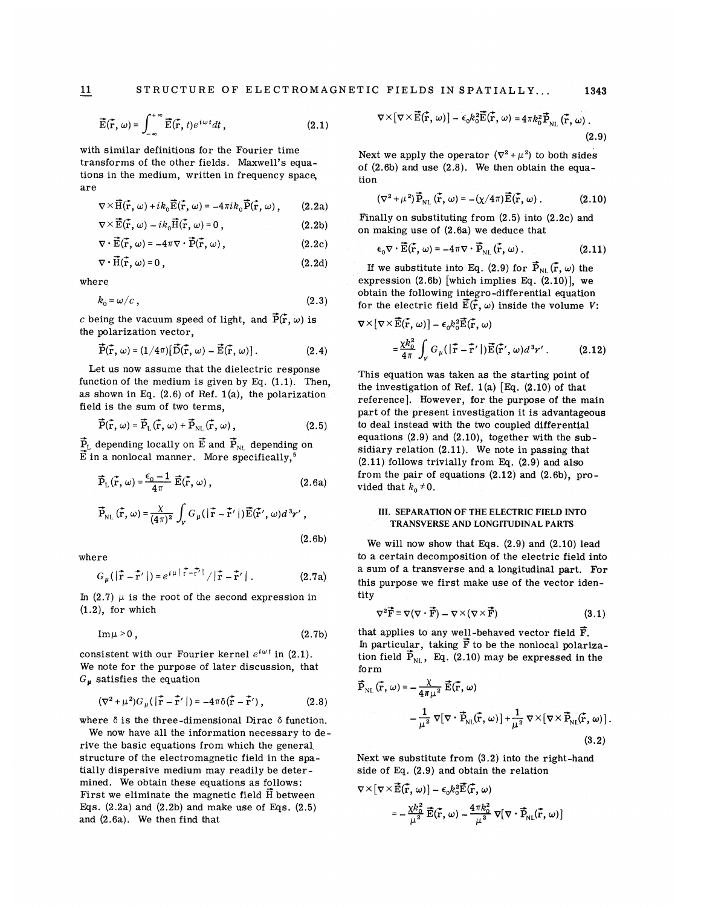$$
\vec{E}(\vec{r}, \omega) = \int_{-\infty}^{+\infty} \vec{E}(\vec{r}, t) e^{i\omega t} dt,
$$
 (2.1)

with similar definitions for the Fourier time transforms of the other fields. Maxwell's equations in the medium, written in frequency space, are

$$
\nabla \times \vec{H}(\vec{r},\omega) + ik_0 \vec{E}(\vec{r},\omega) = -4\pi ik_0 \vec{P}(\vec{r},\omega), \quad (2.2a)
$$

$$
\nabla \times \vec{E}(\vec{r}, \omega) - i k_0 \vec{H}(\vec{r}, \omega) = 0, \qquad (2.2b)
$$

$$
\nabla \cdot \vec{E}(\vec{r}, \omega) = -4\pi \nabla \cdot \vec{P}(\vec{r}, \omega), \qquad (2.2c)
$$

$$
\nabla \cdot \vec{H}(\vec{r}, \omega) = 0 , \qquad (2.2d)
$$

where

$$
k_0 = \omega/c \tag{2.3}
$$

c being the vacuum speed of light, and  $\vec{P}(\vec{r}, \omega)$  is the polarization vector,

$$
\vec{\mathbf{P}}(\vec{\mathbf{r}},\,\omega) = (1/4\pi) [\vec{\mathbf{D}}(\vec{\mathbf{r}},\,\omega) - \vec{\mathbf{E}}(\vec{\mathbf{r}},\,\omega)]\,. \tag{2.4}
$$

Let us now assume that the dielectric response function of the medium is given by Eq.  $(1.1)$ . Then, as shown in Eq.  $(2.6)$  of Ref. 1 $(a)$ , the polarization field is the sum of two terms,

$$
\vec{P}(\vec{r}, \omega) = \vec{P}_{L}(\vec{r}, \omega) + \vec{P}_{NL}(\vec{r}, \omega),
$$
\n(2.5)

 $\vec{P}_L$  depending locally on  $\vec{E}$  and  $\vec{P}_{NL}$  depending on  $\vec{E}$  in a nonlocal manner. More specifically,<sup>5</sup>

$$
\vec{P}_{L}(\vec{r}, \omega) = \frac{\epsilon_{0} - 1}{4\pi} \; \vec{E}(\vec{r}, \omega) , \qquad (2.6a)
$$

$$
\vec{P}_{\text{NL}}(\vec{r}, \omega) = \frac{\chi}{(4\pi)^2} \int_{V} G_{\mu}(|\vec{r} - \vec{r}'|) \vec{E}(\vec{r}', \omega) d^3 r', \qquad (2.6b)
$$

where

$$
G_{\mu}\left(|\vec{\mathbf{r}} - \vec{\mathbf{r}}'| \right) = e^{i\mu |\vec{\mathbf{r}} - \vec{\mathbf{r}}'|}/|\vec{\mathbf{r}} - \vec{\mathbf{r}}'|.
$$
 (2.7a)

In (2.7)  $\mu$  is the root of the second expression in (1.2), for which

$$
\operatorname{Im}\mu>0\,,\tag{2.7b}
$$

consistent with our Fourier kernel  $e^{i\omega t}$  in (2.1). We note for the purpose of later discussion, that  $G_{\mu}$  satisfies the equation

$$
(\nabla^2 + \mu^2) G_{\mu}(\vert \vec{r} - \vec{r}' \vert) = -4\pi \delta(\vec{r} - \vec{r}'), \qquad (2.8)
$$

where  $\delta$  is the three-dimensional Dirac  $\delta$  function.

We now have all the information necessary to derive the basic equations from mhich the general structure of the electromagnetic field in the spatially dispersive medium may readily be determined. We obtain these equations as folloms: First we eliminate the magnetic field  $\tilde{H}$  between Eqs.  $(2.2a)$  and  $(2.2b)$  and make use of Eqs.  $(2.5)$ and (2.6a). We then find that

$$
\nabla \times [\nabla \times \vec{E}(\vec{r}, \omega)] - \epsilon_0 k_0^2 \vec{E}(\vec{r}, \omega) = 4 \pi k_0^2 \vec{P}_{NL}(\vec{r}, \omega).
$$
\n(2.9)

Next we apply the operator  $(\nabla^2 + \mu^2)$  to both sides of  $(2.6b)$  and use  $(2.8)$ . We then obtain the equation

$$
(\nabla^2 + \mu^2)\vec{P}_{NL}(\vec{r}, \omega) = -(\chi/4\pi)\vec{E}(\vec{r}, \omega) . \qquad (2.10)
$$

Finally on substituting from (2.5) into (2.2c) and on making use of (2.6a) we deduce that

$$
\epsilon_0 \nabla \cdot \vec{E}(\vec{r}, \omega) = -4\pi \nabla \cdot \vec{P}_{NL}(\vec{r}, \omega) . \qquad (2.11)
$$

If we substitute into Eq. (2.9) for  $\vec{P}_{NL}(\vec{r}, \omega)$  the expression  $(2.6b)$  [which implies Eq.  $(2.10)$ ], we obtain the following integro-differential equation for the electric field  $\vec{E}(\vec{r}, \omega)$  inside the volume V:

$$
\nabla \times [\nabla \times \vec{E}(\vec{r}, \omega)] - \epsilon_0 k_0^2 \vec{E}(\vec{r}, \omega)
$$
  
= 
$$
\frac{\chi k_0^2}{4\pi} \int_V G_\mu (|\vec{r} - \vec{r}'|) \vec{E}(\vec{r}', \omega) d^3 r'.
$$
 (2.12)

This equation mas taken as the starting point of the investigation of Ref.  $1(a)$  [Eq. (2.10) of that reference]. However, for the purpose of the main part of the present investigation it is advantageous to deal instead with the two coupled differential equations (2.9) and (2.10), together with the subsidiary relation (2.11). We note in passing that (2.11) follows trivially from Eq. (2.9) and also from the pair of equations  $(2.12)$  and  $(2.6b)$ , provided that  $k_0 \neq 0$ .

# III. SEPARATION OF THE ELECTRIC FIELD INTO TRANSVERSE AND LONGITUDINAL PARTS

We will now show that Eqs. (2.9) and (2.10) lead to a certain decomposition of the electric field into a sum of a transverse and a longitudinal part. For this purpose we first make use of the vector identity

$$
\nabla^2 \vec{F} = \nabla (\nabla \cdot \vec{F}) - \nabla \times (\nabla \times \vec{F})
$$
 (3.1)

that applies to any well-behaved vector field  $\vec{F}$ . In particular, taking  $\vec{F}$  to be the nonlocal polarization field  $\overline{P}_{NL}$ , Eq. (2.10) may be expressed in the form

form  
\n
$$
\vec{P}_{NL}(\vec{r}, \omega) = -\frac{\chi}{4\pi\mu^2} \vec{E}(\vec{r}, \omega)
$$
\n
$$
-\frac{1}{\mu^2} \nabla [\nabla \cdot \vec{P}_{NL}(\vec{r}, \omega)] + \frac{1}{\mu^2} \nabla \times [\nabla \times \vec{P}_{NL}(\vec{r}, \omega)].
$$
\n(3.2)

Next we substitute from (3.2) into the right-hand side of Eq. (2.9) and obtain the relation

$$
\nabla \times [\nabla \times \vec{E}(\vec{r}, \omega)] - \epsilon_0 k_0^2 \vec{E}(\vec{r}, \omega)
$$
  
=  $-\frac{\chi k_0^2}{\mu^2} \vec{E}(\vec{r}, \omega) - \frac{4 \pi k_0^2}{\mu^2} \nabla [\nabla \cdot \vec{P}_{NL}(\vec{r}, \omega)]$ 

 $11\,$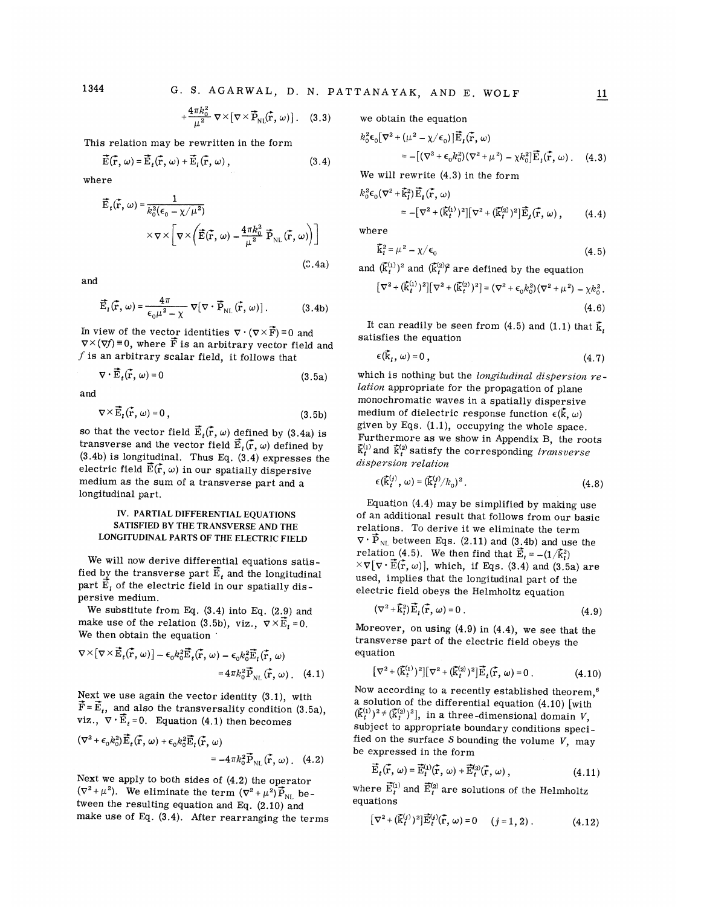1344

$$
+\frac{4\pi k_0^2}{\mu^2}\nabla\times\left[\nabla\times\vec{P}_{NL}(\vec{r},\omega)\right].
$$
 (3.3)

This relation may be rewritten in the form

$$
\vec{E}(\vec{r}, \omega) = \vec{E}_t(\vec{r}, \omega) + \vec{E}_t(\vec{r}, \omega), \qquad (3.4)
$$

where

$$
\vec{E}_t(\vec{r}, \omega) = \frac{1}{k_0^2(\epsilon_0 - \chi/\mu^2)}\n\times \nabla \times \left[\nabla \times \left(\vec{E}(\vec{r}, \omega) - \frac{4\pi k_0^2}{\mu^2} \vec{P}_{NL}(\vec{r}, \omega)\right)\right]
$$

and

$$
\vec{E}_I(\vec{r}, \omega) = \frac{4\pi}{\epsilon_0 \mu^2 - \chi} \nabla [\nabla \cdot \vec{P}_{NL}(\vec{r}, \omega)].
$$
 (3.4b)

In view of the vector identities  $\nabla \cdot (\nabla \times \vec{\mathbf{F}}) \equiv 0$  and  $\nabla \times (\nabla f) \equiv 0$ , where  $\vec{F}$  is an arbitrary vector field and f is an arbitrary scalar field, it follows that

$$
\nabla \cdot \vec{\mathbf{E}}_t(\vec{\mathbf{r}}, \omega) = 0 \tag{3.5a}
$$

and

$$
\nabla \times \vec{\mathbf{E}}_i(\vec{r}, \omega) = 0 , \qquad (3.5b)
$$

so that the vector field  $\vec{E}_t(\vec{r}, \omega)$  defined by (3.4a) is transverse and the vector field  $\vec{E}_i(\vec{r}, \omega)$  defined by (3.4b) is longitudinal. Thus Eq. (3.4) expresses the electric field  $\vec{E}(\vec{r}, \omega)$  in our spatially dispersive medium as the sum of a transverse part and a longitudinal part.

# IV. PARTIAL DIFFERENTIAL EQUATIONS SATISFIED BY THE TRANSVERSE AND THE LONGITUDINAL PARTS OF THE ELECTRIC FIELD

We will now derive differential equations satisfied by the transverse part  $\vec{E}_t$  and the longitudinal part  $\vec{E}_i$  of the electric field in our spatially dispersive medium.

We substitute from Eq. (3.4) into Eq. (2.9) and make use of the relation (3.5b), viz.,  $\nabla \times \vec{E}_i = 0$ . We then obtain the equation

$$
\nabla \times [\nabla \times \vec{\mathbf{E}}_t(\vec{\mathbf{r}}, \omega)] - \epsilon_0 k_0^2 \vec{\mathbf{E}}_t(\vec{\mathbf{r}}, \omega) - \epsilon_0 k_0^2 \vec{\mathbf{E}}_t(\vec{\mathbf{r}}, \omega)
$$
  
=  $4\pi k_0^2 \vec{\mathbf{P}}_{NL}(\vec{\mathbf{r}}, \omega)$ . (4.1)

Next we use again the vector identity (3.1), with  $\vec{F} = \vec{E}_t$ , and also the transversality condition (3.5a), viz.,  $\nabla \cdot \vec{E}_t = 0$ . Equation (4.1) then becomes

$$
(\nabla^2 + \epsilon_0 k_0^2) \vec{E}_t(\vec{r}, \omega) + \epsilon_0 k_0^2 \vec{E}_t(\vec{r}, \omega)
$$
  
= -4\pi k\_0^2 \vec{P}\_{NL}(\vec{r}, \omega). (4.2)

Next we apply to both sides of (4.2) the operator  $(\nabla^2 + \mu^2)$ . We eliminate the term  $(\nabla^2 + \mu^2)\vec{P}_{NL}$  between the resulting equation and Eq. (2.10) and make use of Eq. (3.4). After rearranging the terms we obtain the equation

$$
k_0^2 \epsilon_0 [\nabla^2 + (\mu^2 - \chi/\epsilon_0)] \vec{\mathbf{E}}_t(\vec{\mathbf{r}}, \omega)
$$
  
= -[(\nabla^2 + \epsilon\_0 k\_0^2)(\nabla^2 + \mu^2) - \chi k\_0^2] \vec{\mathbf{E}}\_t(\vec{\mathbf{r}}, \omega). (4.3)

We will rewrite (4.3) in the form

$$
k_0^2 \epsilon_0 (\nabla^2 + \vec{k}_1^2) \vec{E}_t(\vec{r}, \omega)
$$
  
= -[\nabla^2 + (\vec{k}\_t^{(1)})^2][\nabla^2 + (\vec{k}\_t^{(2)})^2]\vec{E}\_t(\vec{r}, \omega), (4.4)

where

 $($ .4a)

$$
\vec{k}_i^2 = \mu^2 - \chi/\epsilon_0 \tag{4.5}
$$

and  $(\vec{k}_{t}^{(1)})^2$  and  $(\vec{k}_{t}^{(2)})^2$  are defined by the equation

$$
[\nabla^2 + (\vec{k}_t^{(1)})^2][\nabla^2 + (\vec{k}_t^{(2)})^2] = (\nabla^2 + \epsilon_0 k_0^2)(\nabla^2 + \mu^2) - \chi k_0^2.
$$
\n(3.4b)\n(4.6)

It can readily be seen from (4.5) and (1.1) that  $\vec{k}$ , satisfies the equation

$$
\epsilon(\vec{k}_1,\,\omega)=0\,,\tag{4.7}
$$

which is nothing but the longitudinal dispersion relation appropriate for the propagation of plane monochromatic waves in a spatially dispersive medium of dielectric response function  $\epsilon(\vec{k}, \omega)$ given by Eqs. (1.1), occupying the whole space. Furthermore as we show in Appendix B, the roots For the function cluster show in Appendix B, the Function of  $\tilde{k}_t^{(1)}$  and  $\tilde{k}_t^{(2)}$  satisfy the corresponding *transvers* dispersion relation

$$
\epsilon(\vec{\mathbf{k}}_t^{(j)}, \omega) = (\vec{\mathbf{k}}_t^{(j)}/k_0)^2.
$$
 (4.8)

Equation (4.4) may be simplified by making use of an additional result that follows from our basic relations. To derive it we eliminate the term  $\nabla \cdot \vec{P}_{NL}$  between Eqs. (2.11) and (3.4b) and use the relation (4.5). We then find that  $\vec{E}_i = -(1/\vec{k}_i^2)$  $x \vee \nabla [\nabla \cdot \vec{E}(\vec{r}, \omega)]$ , which, if Eqs. (3.4) and (3.5a) are used, implies that the longitudinal part of the electric field obeys the Helmholtz equation

$$
(\nabla^2 + \vec{k}_i^2) \vec{E}_i(\vec{r}, \omega) = 0.
$$
 (4.9)

Moreover, on using (4.9) in (4.4), we see that the transverse part of the electric field obeys the equation

$$
[\nabla^2 + (\vec{k}_t^{(1)})^2][\nabla^2 + (\vec{k}_t^{(2)})^2]\vec{E}_t(\vec{r}, \omega) = 0.
$$
 (4.10)

Now according to a recently established theorem.<sup>6</sup> a solution of the differential equation (4.10) [with  $(\vec{k}_{t}^{(1)})^2 \neq (\vec{k}_{t}^{(2)})^2$ , in a three-dimensional domain V, subject to appropriate boundary conditions specified on the surface  $S$  bounding the volume  $V$ , may be expressed in the form

$$
\vec{E}_t(\vec{r}, \omega) = \vec{E}_t^{(1)}(\vec{r}, \omega) + \vec{E}_t^{(2)}(\vec{r}, \omega), \qquad (4.11)
$$

where  $\vec{\mathrm{E}}_{t}^{\text{(1)}}$  and  $\vec{\mathrm{E}}_{t}^{\text{(2)}}$  are solutions of the Helmholt equations

$$
[\nabla^2 + (\vec{k}_t^{(j)})^2] \vec{E}_t^{(j)}(\vec{r}, \omega) = 0 \qquad (j = 1, 2) . \tag{4.12}
$$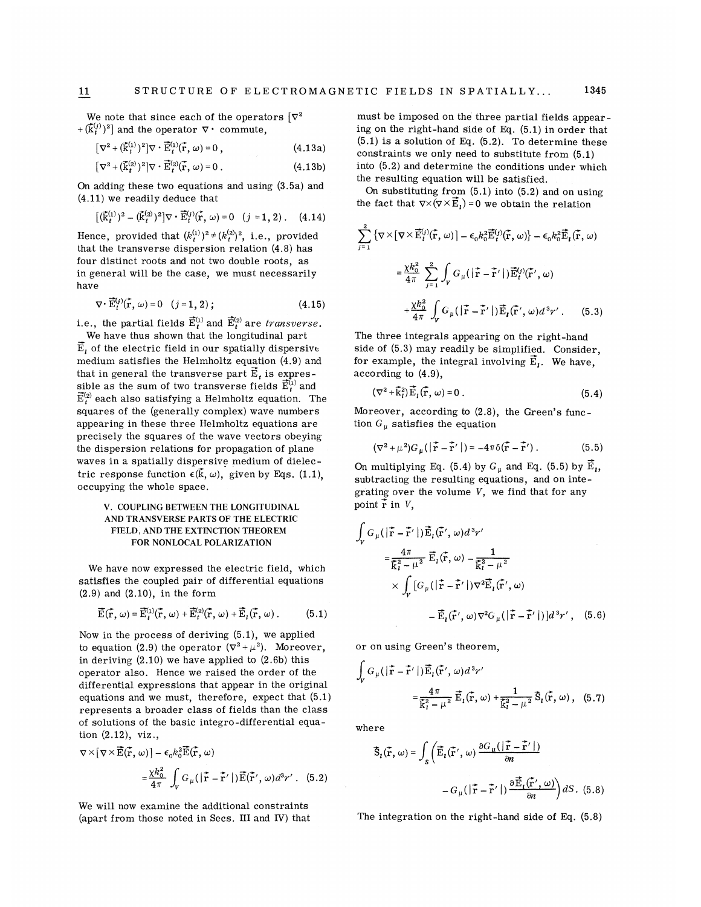We note that since each of the operators  $\nabla^2$  $+(\vec{k}_{t}^{(j)})^{2}$  and the operator  $\nabla \cdot$  commute,

$$
[\nabla^2 + (\vec{k}_t^{(1)})^2] \nabla \cdot \vec{E}_t^{(1)}(\vec{r}, \omega) = 0,
$$
\n(4.13a)  
\n
$$
[\nabla^2 + (\vec{k}_t^{(2)})^2] \nabla \cdot \vec{F}_t^{(2)}(\vec{r}, \omega) = 0,
$$
\n(4.13b)

$$
[v + (k_t) | v \cdot E_t (r, w) = 0. \tag{4.130}
$$

On adding these two equations and using (3.5a) and (4.11) we readily deduce that

$$
[(\vec{\mathbf{k}}_t^{(1)})^2 - (\vec{\mathbf{k}}_t^{(2)})^2] \nabla \cdot \vec{\mathbf{E}}_t^{(j)}(\vec{\mathbf{r}}, \omega) = 0 \quad (j = 1, 2). \quad (4.14)
$$

Hence, provided that  $(k_t^{(1)})^2 \neq (k_t^{(2)})^2$ , i.e., provided that the transverse dispersion relation (4.8) has four distinct roots and not two double roots, as in general will be the case, we must necessarily have

$$
\nabla \cdot \vec{\mathbf{E}}_t^{(j)}(\vec{\mathbf{r}}, \omega) = 0 \quad (j = 1, 2) ; \tag{4.15}
$$

i.e., the partial fields  $\vec{\mathrm{E}}_{t}^{\text{\tiny (1)}}$  and  $\vec{\mathrm{E}}_{t}^{\text{\tiny (2)}}$  are  $\textit{transverse}$ 

We have thus shown that the longitudinal part  $\vec{E}$ , of the electric field in our spatially dispersive medium satisfies the Helmholtz equation (4.9) and that in general the transverse part  $\vec{E}_t$  is expressible as the sum of two transverse fields  $\vec{E}_{t}^{(1)}$  and  $\vec{E}_{t}^{(2)}$  each also satisfying a Helmholtz equation. The squares of the (generally complex) wave numbers appearing in these three Helmholtz equations are precisely the squares of the wave vectors obeying the dispersion relations for propagation of plane waves in a spatially dispersive medium of dielectric response function  $\epsilon(\vec{k}, \omega)$ , given by Eqs. (1.1), occupying the whole space.

# V. COUPLING BETWEEN THE LONGITUDINAL AND TRANSVERSE PARTS OF THE ELECTRIC FIELD, AND THE EXTINCTION THEOREM FOR NONLOCAL POLARIZATION

We have now expressed the electric field, which satisfies the coupled pair of differential equations (2.9) and (2.10), in the form

$$
\vec{E}(\vec{r},\,\omega) = \vec{E}_t^{(1)}(\vec{r},\,\omega) + \vec{E}_t^{(2)}(\vec{r},\,\omega) + \vec{E}_t(\vec{r},\,\omega) \,. \tag{5.1}
$$

Now in the process of deriving (5.1), we applied to equation (2.9) the operator  $(\nabla^2 + \mu^2)$ . Moreover, in deriving (2.10) we have applied to (2.6b) this operator also. Hence we raised the order of the differential expressions that appear in the original equations and we must, therefore, expect that (5.1) represents a broader class of fields than the class of solutions of the basic integro-differential equation (2.12), viz.,

$$
\nabla \times [\nabla \times \vec{E}(\vec{r}, \omega)] - \epsilon_0 k_0^2 \vec{E}(\vec{r}, \omega)
$$
  
= 
$$
\frac{\chi k_0^2}{4\pi} \int_V G_\mu(|\vec{r} - \vec{r}'|) \vec{E}(\vec{r}', \omega) d^3 r' .
$$
 (5.2)

We will now examine the additional constraints (apart from those noted in Secs. III and IV) that

must be imposed on the three partial fields appearing on the right-hand side of Eq. (5.1) in order that  $(5.1)$  is a solution of Eq.  $(5.2)$ . To determine these constraints we only need to substitute from (5.1) into (5.2) and determine the conditions under which the resulting equation will be satisfied.

On substituting from  $(5.1)$  into  $(5.2)$  and on using the fact that  $\nabla \times (\nabla \times \vec{E}_i) = 0$  we obtain the relation

$$
\sum_{j=1}^{2} \left\{ \nabla \times \left[ \nabla \times \vec{E}_{t}^{(j)}(\vec{r}, \omega) \right] - \epsilon_{0} k_{0}^{2} \vec{E}_{t}^{(j)}(\vec{r}, \omega) \right\} - \epsilon_{0} k_{0}^{2} \vec{E}_{t}(\vec{r}, \omega)
$$
\n
$$
= \frac{\chi k_{0}^{2}}{4\pi} \sum_{j=1}^{2} \int_{V} G_{\mu} (\left| \vec{r} - \vec{r}' \right|) \vec{E}_{t}^{(j)}(\vec{r}', \omega)
$$
\n
$$
+ \frac{\chi k_{0}^{2}}{4\pi} \int_{V} G_{\mu} (\left| \vec{r} - \vec{r}' \right|) \vec{E}_{t}(\vec{r}', \omega) d^{3}r'. \quad (5.3)
$$

The three integrals appearing on the right-hand side of (5.3) may readily be simplified. Consider, for example, the integral involving  $\vec{E}_i$ . We have, according to (4.9),

$$
(\nabla^2 + \vec{k}_i^2) \vec{E}_i(\vec{r}, \omega) = 0.
$$
 (5.4)

Moreover, according to (2.8), the Green's function  $G_\mu$  satisfies the equatio

$$
(\nabla^2 + \mu^2) G_{\mu} (\vert \vec{\mathbf{r}} - \vec{\mathbf{r}}' \vert) = -4\pi \delta(\vec{\mathbf{r}} - \vec{\mathbf{r}}'). \qquad (5.5)
$$

On multiplying Eq. (5.4) by  $G_{\mu}$  and Eq. (5.5) by  $\vec{E}_{l}$ , subtracting the resulting equations, and on integrating over the volume  $V$ , we find that for any point  $\tilde{r}$  in  $V$ ,

FIELD, AND THE EXTINCTION THEOREM  
\nFOR NONLOCAL POLARIZATION  
\ne have now expressed the electric field, which  
\nsfies the coupled pair of differential equations  
\nand (2.10), in the form  
\n
$$
\overrightarrow{E}(\overrightarrow{r}, \omega) = \overrightarrow{E}(\overrightarrow{r}, \omega) + \overrightarrow{E}(\overrightarrow{r}, \omega) + \overrightarrow{E}(\overrightarrow{r}, \omega).
$$
\n(5.1)  
\n
$$
\overrightarrow{E}(\overrightarrow{r}, \omega) = \overrightarrow{E}(\overrightarrow{r}, \omega) + \overrightarrow{E}(\overrightarrow{r}, \omega) + \overrightarrow{E}(\overrightarrow{r}, \omega).
$$
\n(5.1)  
\n
$$
\overrightarrow{E}(\overrightarrow{r}, \omega) \nabla^{2}G_{\mu}(|\overrightarrow{r} - \overrightarrow{r}'|)|d^{3}r',
$$
\n(5.6)

or on using Green's theorem,

$$
\int_{V} G_{\mu}(|\vec{r} - \vec{r}'|) \vec{E}_{I}(\vec{r}', \omega) d^{3}r'
$$
\n
$$
= \frac{4\pi}{\vec{k}_{I}^{2} - \mu^{2}} \vec{E}_{I}(\vec{r}, \omega) + \frac{1}{\vec{k}_{I}^{2} - \mu^{2}} \vec{S}_{I}(\vec{r}, \omega), (5.7)
$$

where

$$
\begin{aligned} \bar{\mathbf{S}}_l(\vec{\mathbf{r}}, \omega) &= \int_{\mathcal{S}} \left( \vec{\mathbf{E}}_l(\vec{\mathbf{r}}', \omega) \, \frac{\partial G_{\mu}(|\vec{\mathbf{r}} - \vec{\mathbf{r}}'|)}{\partial n} \right) \\ &- G_{\mu}(|\vec{\mathbf{r}} - \vec{\mathbf{r}}'|) \, \frac{\partial \vec{\mathbf{E}}_l(\vec{\mathbf{r}}', \omega)}{\partial n} \right) dS. \tag{5.8} \end{aligned}
$$

The integration on the right-hand side of Eq. (5.8)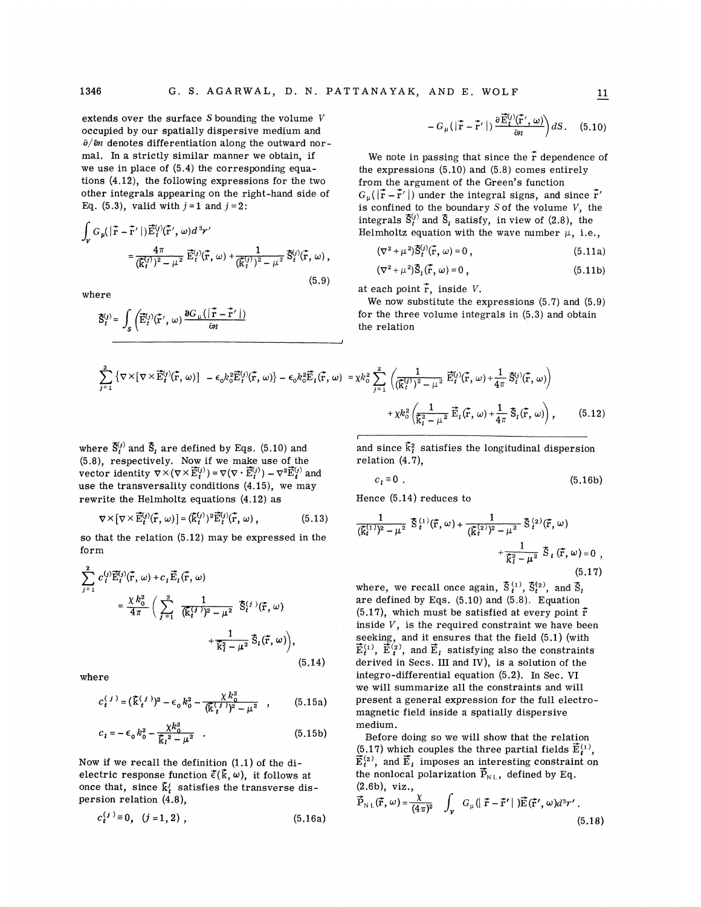extends over the surface 8 bounding the volume V occupied by our spatially dispersive medium and  $\partial/\partial n$  denotes differentiation along the outward normal. In a strictly similar manner we obtain, if we use in place of (5.4) the corresponding equations (4.12), the following expressions for the two other integrals appearing on the right-hand side of Eq. (5.3), valid with  $j = 1$  and  $j = 2$ :

$$
\int_{V} G_{\mu}(|\vec{r} - \vec{r}'|) \vec{E}_{t}^{(j)}(\vec{r}', \omega) d^{3}r'
$$
\n
$$
= \frac{4\pi}{(\vec{k}_{t}^{(j)})^{2} - \mu^{2}} \vec{E}_{t}^{(j)}(\vec{r}, \omega) + \frac{1}{(\vec{k}_{t}^{(j)})^{2} - \mu^{2}} \vec{S}_{t}^{(j)}(\vec{r}, \omega),
$$
\n(5.9)

where

$$
\tilde{S}_{t}^{(j)} = \int_{S} \left( \tilde{E}_{t}^{(j)}(\tilde{r}', \omega) \frac{\partial G_{\mu}(|\tilde{r} - \tilde{r}'|)}{\partial n} \right)
$$

$$
-G_{\mu}(|\vec{\mathbf{r}}-\vec{\mathbf{r}}'|)\frac{\partial\vec{\mathbf{E}}_{t}^{(j)}(\vec{\mathbf{r}}',\omega)}{\partial n}\bigg)dS. \quad (5.10)
$$

We note in passing that since the  $\overline{r}$  dependence of the expressions (5.10) and (5.8) comes entirely from the argument of the Green's function  $G_{\mu}(|\vec{r} - \vec{r}'|)$  under the integral signs, and since  $\vec{r}'$ is confined to the boundary  $S$  of the volume  $V$ , the integrals  $\bar{S}_{t}^{(j)}$  and  $\bar{S}_{t}$  satisfy, in view of (2.8), the Helmholtz equation with the wave number  $\mu$ , i.e.,

$$
(\nabla^2 + \mu^2)\vec{S}_t^{(j)}(\vec{r}, \omega) = 0,
$$
\n(5.11a)

$$
(\nabla^2 + \mu^2)\bar{\mathbf{S}}_1(\bar{\mathbf{r}}, \omega) = 0 ,\qquad(5.11b)
$$

at each point  $\mathbf{\vec{r}}$ , inside  $V$ .

We now substitute the expressions (5.7) and (5.9) for the three volume integrals in (5.3) and obtain the relation

$$
\sum_{j=1}^{2} \left\{ \nabla \times \left[ \nabla \times \vec{E}_{t}^{(j)}(\vec{r}, \omega) \right] - \epsilon_{0} k_{0}^{2} \vec{E}_{t}^{(j)}(\vec{r}, \omega) \right\} - \epsilon_{0} k_{0}^{2} \vec{E}_{t}(\vec{r}, \omega) = \chi k_{0}^{2} \sum_{j=1}^{2} \left( \frac{1}{(\vec{k}_{t}^{(j)})^{2} - \mu^{2}} \vec{E}_{t}^{(j)}(\vec{r}, \omega) + \frac{1}{4\pi} \vec{S}_{t}^{(j)}(\vec{r}, \omega) \right) + \chi k_{0}^{2} \left( \frac{1}{\vec{k}_{t}^{2} - \mu^{2}} \vec{E}_{t}(\vec{r}, \omega) + \frac{1}{4\pi} \vec{S}_{t}(\vec{r}, \omega) \right), \qquad (5.12)
$$

where  $\bar{S}_{t}^{(j)}$  and  $\bar{S}_{i}$  are defined by Eqs. (5.10) and (5.8), respectively. Now if we make use of the vector identity  $\nabla \times (\nabla \times \vec{E}_{t}^{(j)}) = \nabla (\nabla \cdot \vec{E}_{t}^{(j)}) - \nabla^2 \vec{E}_{t}^{(j)}$  and use the transversality conditions (4.15), we may rewrite the Helmholtz equations (4.12) as

$$
\nabla \times [\nabla \times \vec{\mathbf{E}}_t^{(j)}(\vec{\mathbf{r}}, \omega)] = (\vec{\mathbf{k}}_t^{(j)})^2 \vec{\mathbf{E}}_t^{(j)}(\vec{\mathbf{r}}, \omega), \qquad (5.13)
$$

so that the relation (5.12) may be expressed in the form

$$
\sum_{j=1}^{2} c_{i}^{(j)} \vec{E}_{i}^{(j)}(\vec{r}, \omega) + c_{i} \vec{E}_{i}(\vec{r}, \omega)
$$
  

$$
= \frac{\chi k_{0}^{2}}{4\pi} \left( \sum_{j=1}^{2} \frac{1}{(\vec{k}_{i}^{(j)})^{2} - \mu^{2}} \vec{S}_{i}^{(j)}(\vec{r}, \omega) + \frac{1}{\vec{k}_{i}^{2} - \mu^{2}} \vec{S}_{i}(\vec{r}, \omega) \right),
$$
(5.14)

where

$$
c_t^{(j)} = (\vec{k}_t^{(j)})^2 - \epsilon_0 k_0^2 - \frac{\chi k_0^2}{(\vec{k}_t^{(j)})^2 - \mu^2} \quad , \tag{5.15a}
$$

$$
c_1 = -\epsilon_0 k_0^2 - \frac{\chi k_0^2}{\bar{k}_1^2 - \mu^2} \quad . \tag{5.15b}
$$

Now if we recall the definition (1.1) of the dielectric response function  $\bar{\epsilon}(\vec{k}, \omega)$ , it follows at once that, since  $\bar{k}_t^j$  satisfies the transverse dispersion relation (4.8),

$$
c_i^{(j)} \equiv 0, \quad (j = 1, 2) , \tag{5.16a}
$$

and since 
$$
\vec{k}_i^2
$$
 satisfies the longitudinal dispersion relation (4.7),

$$
c_1 = 0 \tag{5.16b}
$$

Hence (5.14) reduces to

$$
\frac{1}{(\vec{k}_{t}^{(1)})^2 - \mu^2} \vec{S}_{t}^{(1)}(\vec{r}, \omega) + \frac{1}{(\vec{k}_{t}^{(2)})^2 - \mu^2} \vec{S}_{t}^{(2)}(\vec{r}, \omega) + \frac{1}{\vec{k}_{t}^2 - \mu^2} \vec{S}_{t}(\vec{r}, \omega) = 0,
$$
\n(5.17)

where, we recall once again,  $\bar{S}_{t}^{(1)}$ ,  $\bar{S}_{t}^{(2)}$ , and  $\bar{S}_{t}$ are defined by Eqs. (5.10) and (5.8). Equation (5.17), which must be satisfied at every point  $\bar{r}$ inside  $V$ , is the required constraint we have been seeking, and it ensures that the field (5.1) (with  $\vec{E}_{t}^{(1)}$ ,  $\vec{E}_{t}^{(2)}$ , and  $\vec{E}_{t}$  satisfying also the constraints derived in Secs. III and IV), is a solution of the integro-differential equation (5.2). In Sec. VI we will summarize all the constraints and will present a general expression for the full electromagnetic field inside a spatially dispersive medium.

Before doing so we will show that the relation (5.17) which couples the three partial fields  $\vec{E}_{t}^{(1)}$ ,  $\widetilde{\mathbf{E}}_{t}^{(2)},$  and  $\widetilde{\mathbf{E}}_{t}$  imposes an interesting constraint on the nonlocal polarization  $\vec{P}_{NL}$ , defined by Eq. (2.6b), viz. ,

$$
\vec{P}_{NL}(\vec{r}, \omega) = \frac{\chi}{(4\pi)^2} \int_{V} G_{\mu}(|\vec{r} - \vec{r}'|) \vec{E}(\vec{r}', \omega) d^3 r' .
$$
\n(5.18)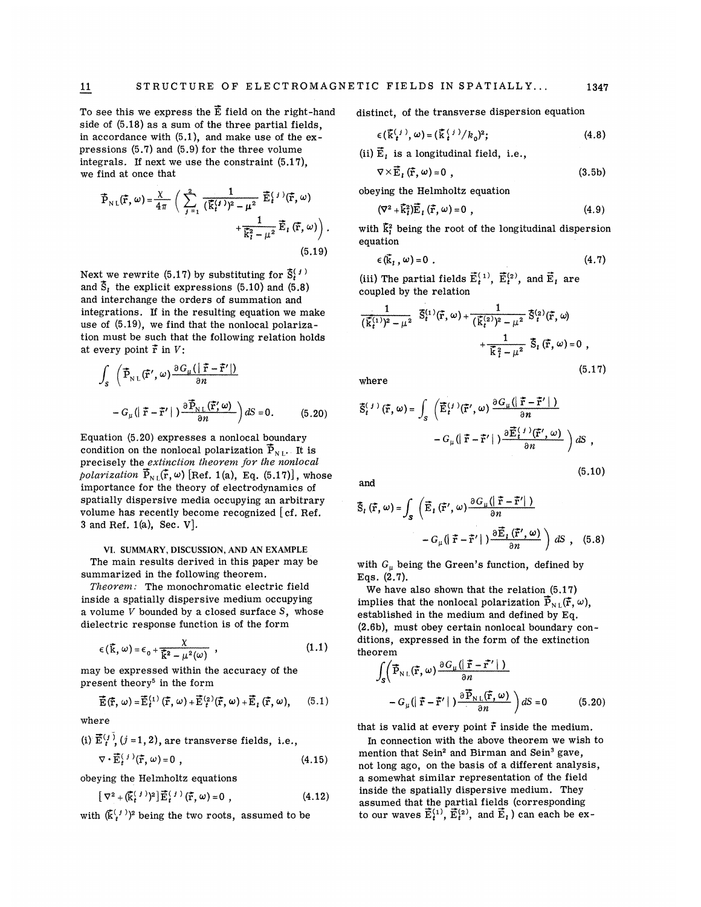To see this we express the  $\vec{E}$  field on the right-hand side of  $(5.18)$  as a sum of the three partial fields, in accordance with (5.1), and make use of the expressions  $(5.7)$  and  $(5.9)$  for the three volume integrals. If next we use the constraint  $(5.17)$ , we find at once that

$$
\vec{\mathbf{P}}_{NL}(\vec{r}, \omega) = \frac{\chi}{4\pi} \left( \sum_{j=1}^{2} \frac{1}{(\vec{k}_{i}^{(j)})^2 - \mu^2} \vec{\mathbf{E}}_{i}^{(j)}(\vec{r}, \omega) + \frac{1}{\vec{k}_{i}^2 - \mu^2} \vec{\mathbf{E}}_{i}(\vec{r}, \omega) \right).
$$
\n(5.19)

Next we rewrite (5.17) by substituting for  $\tilde{\mathbf{S}}_t^{(j)}$ and  $\bar{S}_1$ , the explicit expressions (5.10) and (5.8) and interchange the orders of summation and integrations. If in the resulting equation we make use of  $(5.19)$ , we find that the nonlocal polarization must be such that the following relation holds at every point  $\bar{r}$  in  $V$ :

$$
\int_{\mathcal{S}} \left( \vec{\mathbf{P}}_{\text{NL}}(\vec{\mathbf{r}}', \omega) \frac{\partial G_{\mu}(|\vec{\mathbf{r}} - \vec{\mathbf{r}}'|)}{\partial n} \right)
$$

$$
- G_{\mu}(|\vec{\mathbf{r}} - \vec{\mathbf{r}}'|) \frac{\partial \vec{\mathbf{P}}_{\text{NL}}(\vec{\mathbf{r}}', \omega)}{\partial n} dS = 0. \qquad (5.20)
$$

Equation (5.20) expresses a nonlocal boundary condition on the nonlocal polarization  $\bar{P}_{N,L}$ . It is precisely the extinction theorem for the nonlocal polarization  $\vec{P}_{N}(\vec{r}, \omega)$  [Ref. 1(a), Eq. (5.17)], whose importance for the theory of electrodynamics of spatially dispersive media occupying an arbitrary volume has recently become recognized  $[cf. Ref.$ 3 and Ref. 1(a), Sec. V].

VI. SUMMARY, DISCUSSION, AND AN EXAMPLE The main results derived in this paper may be summarized in the following theorem.

Theorem: The monochromatic electric field inside a spatially dispersive medium occupying a volume  $V$  bounded by a closed surface  $S$ , whose dielectric response function is of the form

$$
\epsilon(\vec{k},\omega) = \epsilon_0 + \frac{\chi}{\vec{k}^2 - \mu^2(\omega)},
$$
\n(1.1)

may be expressed within the accuracy of the

present theory<sup>5</sup> in the form  
\n
$$
\vec{E}(\vec{r}, \omega) = \vec{E}_t^{(1)}(\vec{r}, \omega) + \vec{E}_t^{(2)}(\vec{r}, \omega) + \vec{E}_t(\vec{r}, \omega),
$$
\n(5.1)

where

(i) 
$$
\vec{E}^{(j)}_t
$$
,  $(j = 1, 2)$ , are transverse fields, i.e.,

$$
\nabla \cdot \vec{\mathbf{E}}_t^{(j)}(\vec{r}, \omega) = 0 , \qquad (4.15)
$$

obeying the Helmholtz equations

$$
\left[\nabla^2 + (\vec{k}_t^{(\ j)})^2\right]\vec{E}_t^{(\ j)}(\vec{r},\omega) = 0 \ , \tag{4.12}
$$

with  $(\vec{k}_{t}^{(j)})^2$  being the two roots, assumed to be

distinct, of the transverse dispersion equation

$$
\epsilon(\mathbf{\bar{k}}_t^{(j)}, \omega) = (\mathbf{\bar{k}}_t^{(j)}/k_0)^2; \tag{4.8}
$$

(ii)  $\vec{E}_t$  is a longitudinal field, i.e.,

$$
\nabla \times \vec{E}_i \left( \vec{r}, \omega \right) = 0 , \qquad (3.5b)
$$

obeying the Helmholtz equation

$$
(\nabla^2 + \vec{k}_i^2)\vec{E}_i(\vec{r}, \omega) = 0 , \qquad (4.9)
$$

with  $\bar{k}_i^2$  being the root of the longitudinal dispersion equation

$$
\epsilon(\vec{k}_1,\omega)=0\ .\tag{4.7}
$$

(iii) The partial fields  $\vec{E}_{t}^{(1)}$ ,  $\vec{E}_{t}^{(2)}$ , and  $\vec{E}_{t}$  are coupled by the relation

$$
\frac{1}{(\vec{k}_{t}^{(1)})^{2} - \mu^{2}} \quad \vec{S}_{t}^{(1)}(\vec{r}, \omega) + \frac{1}{(\vec{k}_{t}^{(2)})^{2} - \mu^{2}} \quad \vec{S}_{t}^{(2)}(\vec{r}, \omega) + \frac{1}{\vec{k}_{t}^{2} - \mu^{2}} \quad \vec{S}_{t}(\vec{r}, \omega) = 0 \quad , \tag{5.17}
$$

where

$$
\vec{S}_{t}^{(j)}(\vec{r}, \omega) = \int_{\mathcal{S}} \left( \vec{E}_{t}^{(j)}(\vec{r}', \omega) \frac{\partial G_{\mu}(|\vec{r} - \vec{r}'|)}{\partial n} - G_{\mu}(|\vec{r} - \vec{r}'|) \frac{\partial \vec{E}_{t}^{(j)}(\vec{r}', \omega)}{\partial n} \right) dS ,
$$

and

$$
\vec{S}_t(\vec{r}, \omega) = \int_{\mathcal{S}} \left( \vec{E}_t(\vec{r}', \omega) \frac{\partial G_{\mu}(|\vec{r} - \vec{r}'|)}{\partial n} - G_{\mu}(|\vec{r} - \vec{r}'|) \frac{\partial \vec{E}_t(\vec{r}', \omega)}{\partial n} \right) dS , \quad (5.8)
$$

with  $G_{\mu}$  being the Green's function, defined by Eqs.  $(2.7)$ .

We have also shown that the relation  $(5.17)$ implies that the nonlocal polarization  $\vec{P}_{NL}(\vec{r}, \omega)$ , established in the medium and defined by Eq. (2.6b), must obey certain nonlocal boundary conditions, expressed in the form of the extinction theorem

$$
\int_{S} \left( \vec{P}_{NL}(\vec{r}, \omega) \frac{\partial G_{\mu}(|\vec{r} - \vec{r}'|)}{\partial n} - G_{\mu}(|\vec{r} - \vec{r}'|) \frac{\partial \vec{P}_{NL}(\vec{r}, \omega)}{\partial n} \right) dS = 0 \qquad (5.20)
$$

that is valid at every point  $\tilde{r}$  inside the medium.

In connection with the above theorem we wish to mention that Sein' and Birman and Sein' gave, not long ago, on the basis of a different analysis, a somewhat similar representation of the field inside the spatially dispersive medium. They assumed that the partial fields (corresponding to our waves  $\vec{E}_{t}^{(1)}$ ,  $\vec{E}_{t}^{(2)}$ , and  $\vec{E}_{t}$ ) can each be ex-

(5.10)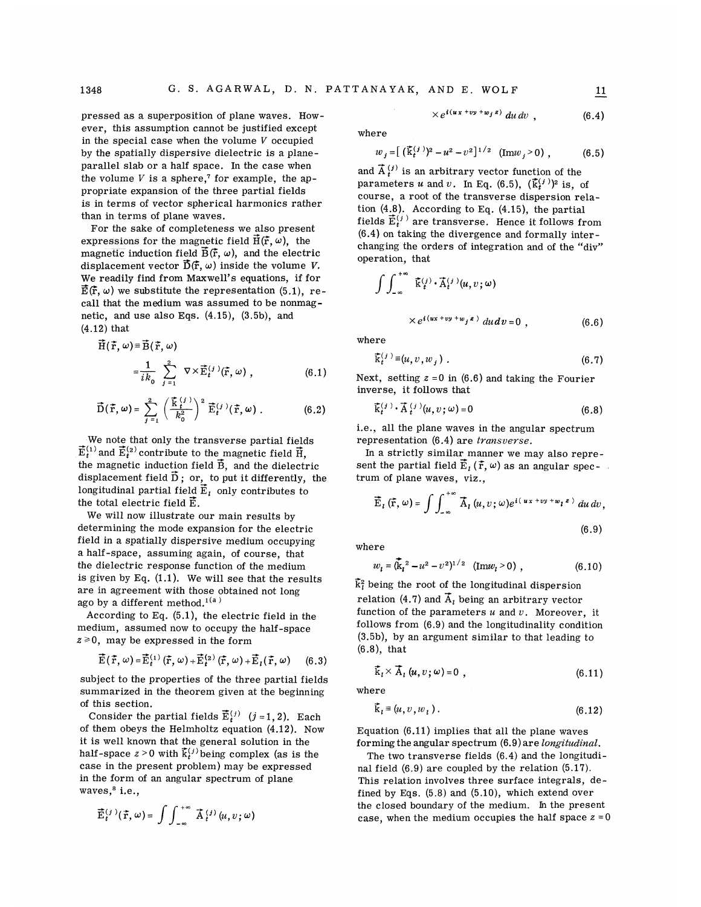pressed as a superposition of plane waves. However, this assumption cannot be justified except in the special case when the volume  $V$  occupied by the spatially dispersive dielectric is a planeparallel slab or a half space. In the case when parafier stab of a nail space. In the case when<br>the volume V is a sphere,<sup>7</sup> for example, the appropriate expansion of the three partial fields is in terms of vector spherical harmonics rather than in terms of plane waves.

For the sake of completeness we also present expressions for the magnetic field  $\vec{H}(\vec{r}, \omega)$ , the magnetic induction field  $\vec{B}(\vec{r}, \omega)$ , and the electric displacement vector  $\vec{D}(\vec{r}, \omega)$  inside the volume V. We readily find from Maxwell's equations, if for  $\vec{E}(\vec{r}, \omega)$  we substitute the representation (5.1), recall that the medium was assumed to be nonmagnetic, and use also Eqs. (4.15), (3.5b), and (4.12) that

$$
\vec{H}(\vec{r}, \omega) = \vec{B}(\vec{r}, \omega)
$$

$$
= \frac{1}{ik_0} \sum_{i=1}^{2} \nabla \times \vec{E}_t^{(i)}(\vec{r}, \omega), \qquad (6.1)
$$

$$
\vec{\mathbf{D}}(\vec{\mathbf{r}},\omega) = \sum_{j=1}^{2} \left(\frac{\vec{\mathbf{k}}_t^{(j)}}{k_0^2}\right)^2 \vec{\mathbf{E}}_t^{(j)}(\vec{\mathbf{r}},\omega) . \tag{6.2}
$$

We note that only the transverse partial fields  $\mathbf{E}_{t}^{(1)}$  and  $\mathbf{E}_{t}^{(2)}$  contribute to the magnetic field  $\mathbf{\vec{H}}_{t}$ the magnetic induction field  $\vec{B}$ , and the dielectric displacement field  $\vec{\text{D}}$  ; or, to put it differently, the longitudinal partial field  $\vec{\textbf{E}}_t$  only contributes to the total electric field E.

We will now illustrate our main results by determining the mode expansion for the electric field in a spatially dispersive medium occupying a half -space, assuming again, of course, that the dielectric response function of the medium is given by Eq.  $(1.1)$ . We will see that the results are in agreement with those obtained not long ago by a different method.<sup>1(a)</sup>

According to Eq. (5.1), the electric field in the medium, assumed now to occupy the half-space  $z \geq 0$ , may be expressed in the form

$$
\vec{E}(\vec{r},\omega) = \vec{E}_t^{(1)}(\vec{r},\omega) + \vec{E}_t^{(2)}(\vec{r},\omega) + \vec{E}_t(\vec{r},\omega)
$$
 (6.3)

subject to the properties of the three partial fields summarized in the theorem given at the beginning of this section.

Consider the partial fields  $\vec{E}_{t}^{(j)}$  (j = 1, 2). Each of them obeys the Heimholtz equation (4.12). Now it is well known that the general solution in the half-space  $z > 0$  with  $\overline{k}_{t}^{(j)}$  being complex (as is the case in the present problem) may be expressed in the form of an angular spectrum of plane  $m$  and  $m \sqrt{m}$ ,  $m \sqrt{m}$ 

$$
\vec{\mathrm{E}}_{t}^{(j)}(\vec{\mathrm{r}},\omega)=\int\int_{-\infty}^{+\infty}\vec{\mathrm{A}}_{t}^{(j)}(u,v;\omega)
$$

$$
\times e^{i(u\,+\,v\,y\,+\,w_j\,z)}\,du\,dv\ ,\qquad \qquad (6.4)
$$

where

$$
w_j = [(\vec{k}_t^{(j)})^2 - u^2 - v^2]^{1/2} \quad (\text{Im} w_j > 0) , \qquad (6.5)
$$

and  $\vec{\mathrm{A}}_{i}^{\,(j)}$  is an arbitrary vector function of the parameters u and v. In Eq. (6.5),  $(\vec{k}_i^{(j)})^2$  is, of course, a root of the transverse dispersion relation (4.8). According to Eq. (4.15), the partial fields  $\vec{E}_{t}^{(j)}$  are transverse. Hence it follows from (6.4) on taking the divergence and formally interchanging the orders of integration and of the "div" operation, that

$$
\int \int_{-\infty}^{+\infty} \vec{k}_t^{(j)} \cdot \vec{A}_t^{(j)}(u,v;\omega)
$$

$$
\times e^{i(ux+vy+w_jz)} du dv = 0 , \qquad (6.6)
$$

where

$$
\vec{k}_t^{(j)} \equiv (u, v, w_j) \tag{6.7}
$$

Next, setting  $z = 0$  in (6.6) and taking the Fourier inverse, it follows that

(6.2) 
$$
\vec{k}_{t}^{(j)} \cdot \vec{A}_{t}^{(j)}(u, v; \omega) = 0
$$
 (6.8)

i.e., all the plane waves in the angular spectrum representation (6.4) are transverse.

In a strictly similar manner we may also represent the partial field  $\vec{E}_t$  ( $\vec{r}, \omega$ ) as an angular spectrum of plane waves, viz. ,

$$
\vec{E}_i(\vec{r}, \omega) = \int \int_{-\infty}^{+\infty} \vec{A}_i(u, v; \omega) e^{i(ux + vy + w_i z)} du dv,
$$
\n(6.9)

where

$$
w_{l} = (\overline{k}_{l}^{2} - u^{2} - v^{2})^{1/2} \quad (\text{Im} w_{l} > 0) , \qquad (6.10)
$$

 $\bar{k}_i^2$  being the root of the longitudinal dispersion relation (4.7) and  $\vec{A}$ , being an arbitrary vector function of the parameters  $u$  and  $v$ . Moreover, it follows from (6.9) and the longitudinality condition (3.5b), by an argument similar to that leading to (6.8), that

$$
\vec{k}_i \times \vec{A}_i \left( u, v; \omega \right) = 0 , \qquad (6.11)
$$

where

$$
\vec{k}_i \equiv (u, v, w_i). \tag{6.12}
$$

Equation {6.11) implies that all the plane waves forming the angular spectrum  $(6.9)$  are longitudinal.

The two transverse fields (6.4) and the longitudinal field (6.9) are coupled by the relation (5.17). This relation involves three surface integrals, defined by Eqs. (5.8) and (5.10), which extend over the closed boundary of the medium. In the present case, when the medium occupies the half space  $z = 0$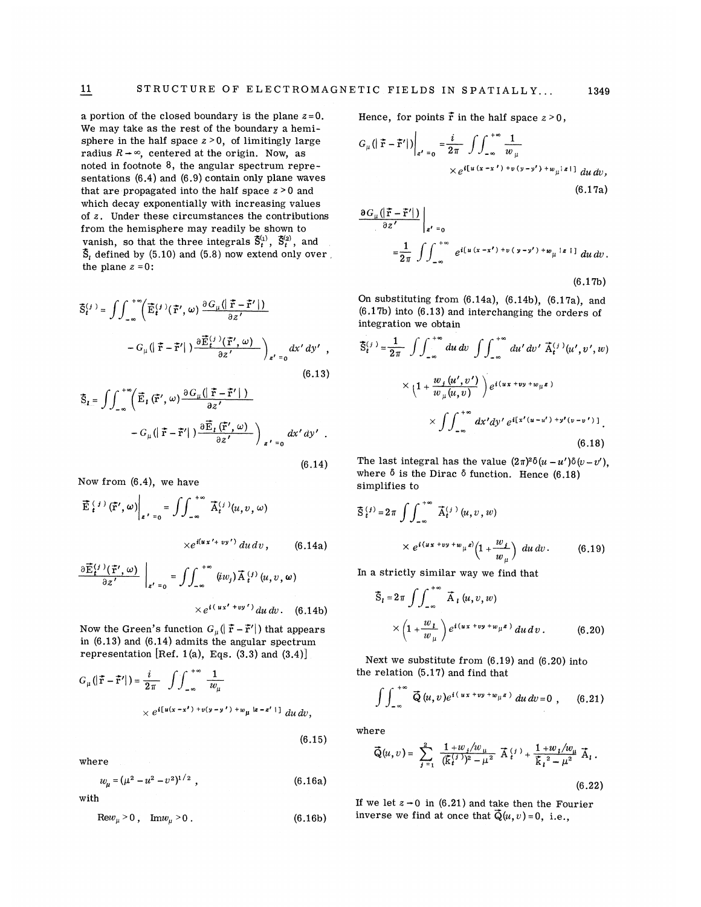a portion of the closed boundary is the plane  $z=0$ . We may take as the rest of the boundary a hemisphere in the half space  $z > 0$ , of limitingly large radius  $R \rightarrow \infty$ , centered at the origin. Now, as noted in footnote 8, the angular spectrum representations (6.4} and (6.9) contain only plane waves that are propagated into the half space  $z > 0$  and which decay exponentially with increasing values of z. Under these circumstances the contributions from the hemisphere may readily be shown to vanish, so that the three integrals  $\bar{S}_{t}^{(1)}$ ,  $\bar{S}_{t}^{(2)}$ , and  $\bar{S}$ , defined by (5.10) and (5.8) now extend only over, the plane  $z = 0$ :

$$
\tilde{S}_{t}^{(j)} = \iiint_{-\infty}^{+\infty} \left( \overrightarrow{E}_{t}^{(j)}(\tilde{r}', \omega) \frac{\partial G_{\mu}(|\tilde{r} - \tilde{r}'|)}{\partial z'} - G_{\mu}(|\tilde{r} - \tilde{r}'|) \frac{\partial \overrightarrow{E}_{t}^{(j)}(\tilde{r}', \omega)}{\partial z'} \right)_{z'=0} dx' dy',
$$
\n(6.13)

$$
\tilde{\mathbf{S}}_{l} = \int \int_{-\infty}^{+\infty} \left( \vec{\mathbf{E}}_{l} \left( \vec{\mathbf{r}}', \omega \right) \frac{\partial G_{\mu} \left( \left| \vec{\mathbf{r}} - \vec{\mathbf{r}}' \right| \right)}{\partial z'} - G_{\mu} \left( \left| \vec{\mathbf{r}} - \vec{\mathbf{r}}' \right| \right) \frac{\partial \vec{\mathbf{E}}_{l} \left( \vec{\mathbf{r}}', \omega \right)}{\partial z'} \right)_{z'=0} dx' dy' .
$$

$$
(6.14)
$$

Now from (6.4), we have

 ${\bf 11}$ 

$$
\left. \begin{aligned} \overrightarrow{\mathbf{E}}_{t}^{(j)}(\overrightarrow{\mathbf{r}}, \omega) \right|_{z'=0} &= \iint_{-\infty}^{+\infty} \overrightarrow{\mathbf{A}}_{t}^{(j)}(u, v, \omega) \\ &\times e^{i(ux'+vy')} \, du \, dv \,, \qquad (6.14a) \end{aligned}
$$

$$
\frac{\partial \vec{\mathbf{E}}_{t}^{(j)}(\vec{\mathbf{r}}', \omega)}{\partial z'}\Big|_{z'=0} = \iint_{-\infty}^{+\infty} (\mathbf{i}w_{j}) \vec{\mathbf{A}}_{t}^{(j)}(u, v, \omega) \times e^{i(u x' + vy')} du dv. \quad (6.14b)
$$

Now the Green's function  $G_u(|\vec{r} - \vec{r}'|)$  that appears in (6.13) and (6.14) admits the angular spectrum representation  $[Ref. 1(a), Eqs. (3.3)$  and  $(3.4)]$ 

$$
G_{\mu}(|\vec{\mathbf{r}} - \vec{\mathbf{r}}'|) = \frac{i}{2\pi} \int \int_{-\infty}^{+\infty} \frac{1}{w_{\mu}}
$$
  
 
$$
\times e^{i[u(x - x') + v(y - y') + w_{\mu}|z - z'|]} du dv,
$$

where

$$
w_{\mu} = (\mu^2 - u^2 - v^2)^{1/2} \t{6.16a}
$$

with

$$
Re w_{\mu} > 0, \quad Im w_{\mu} > 0. \tag{6.16b}
$$

Hence, for points  $\bar{r}$  in the half space  $z>0$ ,

$$
G_{\mu}(|\vec{r} - \vec{r}'|)\Big|_{z' = 0} = \frac{i}{2\pi} \int \int_{-\infty}^{+\infty} \frac{1}{w_{\mu}}
$$
  
 
$$
\times e^{i[u(x - x') + v(y - y') + w_{\mu}(x)]} du dv,
$$
  
(6.17a)

$$
\frac{\partial G_{\mu}(|\vec{r} - \vec{r}'|)}{\partial z'}\Big|_{z' = 0}
$$
\n
$$
= \frac{1}{2\pi} \iint_{-\infty}^{+\infty} e^{i[u(x - x') + v(y - y') + w_{\mu} |z|]} du dv.
$$
\n(6.17b)

On substituting from  $(6.14a)$ ,  $(6.14b)$ ,  $(6.17a)$ , and (6.17b) into (6.13) and interchanging the orders of integration we obtain

$$
dy', \qquad \tilde{S}_{t}^{(j)} = \frac{1}{2\pi} \int \int_{-\infty}^{+\infty} du \, dv \int \int_{-\infty}^{+\infty} du' \, dv' \, \tilde{A}_{t}^{(j)}(u', v', w)
$$
  
(6.13)  

$$
\times \left[1 + \frac{w_{j}(u', v')}{w_{\mu}(u, v)}\right) e^{i(ux + vy + w_{\mu}z)}
$$

$$
\times \int \int_{-\infty}^{+\infty} dx' dy' e^{i[x'(u - u') + y'(v - v')]}.
$$
  
(6.18)

The last integral has the value  $(2\pi)^2 \delta(u-u')\delta(v-v')$ , where  $\delta$  is the Dirac  $\delta$  function. Hence (6.18) simplifies to

$$
\tilde{\mathfrak{F}}_{t}^{(j)} = 2\pi \int \int_{-\infty}^{+\infty} \tilde{A}_{t}^{(j)} (u, v, w)
$$
  
 
$$
\times e^{i(ux + vy + w_{\mu}z)} \left(1 + \frac{w_{j}}{w_{\mu}}\right) du dv. \qquad (6.19)
$$

In a strictly similar way we find that

 $\mathbf{r}$ 

$$
\begin{aligned} \bar{\mathbf{S}}_l &= 2\pi \iint_{-\infty}^{+\infty} \vec{\mathbf{A}}_l \left( u, v, w \right) \\ &\times \left( 1 + \frac{w_l}{w_\mu} \right) e^{i \left( u x + v y + w_\mu z \right)} \, du \, dv \,. \end{aligned} \tag{6.20}
$$

Next we substitute from (6.19) and (6.20) into the relation (5.17) and find that

$$
\int \int_{-\infty}^{+\infty} \vec{Q}(u,v) e^{i(u x + vy + w_{\mu}z)} du dv = 0 , \qquad (6.21)
$$

where

(6.15)

(6.15)  
\n
$$
\vec{Q}(u, v) = \sum_{j=1}^{2} \frac{1 + w_j/w_{\mu}}{(\vec{k}_i^{(j)})^2 - \mu^2} \ \vec{A}_i^{(j)} + \frac{1 + w_1/w_{\mu}}{\vec{k}_i^2 - \mu^2} \ \vec{A}_i.
$$
\n(6.16a)

If we let  $z \rightarrow 0$  in (6.21) and take then the Fourier inverse we find at once that  $\vec{Q}(u, v) = 0$ , i.e.,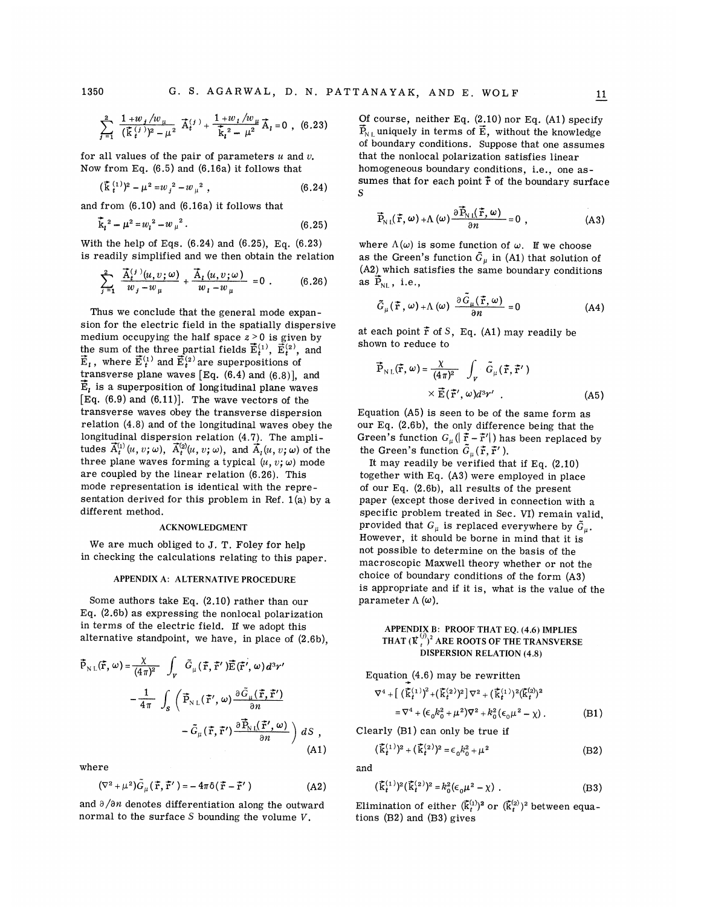$$
\sum_{j=1}^{2} \frac{1+w_j/w_{\mu}}{(\vec{k}_{t}^{(j)})^2-\mu^2} \, \vec{A}_{t}^{(j)} + \frac{1+w_1/w_{\mu}}{\vec{k}_{t}^2-\mu^2} \vec{A}_t = 0 \, , \, (6.23)
$$

for all values of the pair of parameters  $u$  and  $v$ . Now from Eq. (6.5) and (6.16a) it follows that

$$
(\vec{k}^{(1)}_{t})^2 - \mu^2 = w_j^2 - w_{\mu}^2 , \qquad (6.24)
$$

and from  $(6.10)$  and  $(6.16a)$  it follows that

$$
\vec{k}_t^2 - \mu^2 = w_t^2 - w_\mu^2. \tag{6.25}
$$

With the help of Eqs.  $(6.24)$  and  $(6.25)$ , Eq.  $(6.23)$ is readily simplified and we then obtain the relation

$$
\sum_{j=1}^{2} \frac{\vec{A}_{t}^{(j)}(u,v;\omega)}{w_{j}-w_{\mu}} + \frac{\vec{A}_{t}(u,v;\omega)}{w_{t}-w_{\mu}} = 0
$$
 (6.26)

Thus we conclude that the general mode expansion for the electric field in the spatially dispersive medium occupying the half space  $z > 0$  is given by the sum of the three partial fields  $\vec{E}_{t}^{(1)}$ ,  $\vec{E}_{t}^{(2)}$ , and  $\vec{E}_t$ , where  $\vec{E}_t^{(1)}$  and  $\vec{E}_t^{(2)}$  are superpositions of transverse plane waves [Eq.  $(6.4)$  and  $(6.8)$ ], and  $\overline{E}_i$  is a superposition of longitudinal plane waves [Eq.  $(6.9)$  and  $(6.11)$ ]. The wave vectors of the transverse waves obey the transverse dispersion relation (4.6) and of the longitudinal waves obey the longitudinal dispersion relation (4.7). The amplitudes  $\vec{A}_t^{(1)}(u, v; \omega)$ ,  $\vec{A}_t^{(2)}(u, v; \omega)$ , and  $\vec{A}_t(u, v; \omega)$  of the three plane waves forming a typical  $(u, v; \omega)$  mode are coupled by the linear relation (6.26). This mode representation is identical with the representation derived for this problem in Ref.  $1(a)$  by a different method.

#### ACKNOWLEDGMENT

We are much obliged to J. T. Foley for help in checking the calculations relating to this paper.

#### APPENDIX A: ALTERNATIVE PROCEDURE

Some authors take Eq. (2.10) rather than our Eq. (2.6b) as expressing the nonlocal polarization in terms of the electric field. If we adopt this alternative standpoint, we have, in place of (2.6b),

$$
\vec{P}_{NL}(\vec{r}, \omega) = \frac{\chi}{(4\pi)^2} \int_{V} \tilde{G}_{\mu}(\vec{r}, \vec{r}') \vec{E}(\vec{r}', \omega) d^3 r'
$$

$$
- \frac{1}{4\pi} \int_{S} \left( \vec{P}_{NL}(\vec{r}', \omega) \frac{\partial \tilde{G}_{\mu}(\vec{r}, \vec{r}')}{\partial n} - \tilde{G}_{\mu}(\vec{r}, \vec{r}') \frac{\partial \vec{P}_{NL}(\vec{r}', \omega)}{\partial n} \right) dS ,
$$
(A1)

where

$$
(\nabla^2 + \mu^2)\tilde{G}_{\mu}(\vec{r}, \vec{r}') = -4\pi\delta(\vec{r} - \vec{r}')
$$
 (A2)

and  $\partial/\partial n$  denotes differentiation along the outward normal to the surface S bounding the volume  $V$ .

Of course, neither Eq.  $(2.10)$  nor Eq.  $(A1)$  specify  $\vec{P}_{N,L}$  uniquely in terms of  $\vec{E}$ , without the knowledge of boundary conditions. Suppose that one assumes that the nonlocal polarization satisfies linear homogeneous boundary conditions, i.e., one assumes that for each point  $\bar{r}$  of the boundary surface S

$$
\vec{P}_{N\perp}(\vec{r},\omega) + \Lambda(\omega) \frac{\partial \vec{P}_{N\perp}(\vec{r},\omega)}{\partial n} = 0 , \qquad (A3)
$$

where  $\Lambda(\omega)$  is some function of  $\omega$ . If we choose as the Green's function  $\tilde{G}_{\mu}$  in (A1) that solution of (A2) which satisfies the same boundary conditions as  $\overline{P}_{NL}$ , i.e.,

$$
\tilde{G}_{\mu}(\tilde{\mathbf{r}},\omega) + \Lambda(\omega) \frac{\partial \tilde{G}_{\mu}(\tilde{\mathbf{r}},\omega)}{\partial n} = 0
$$
 (A4)

at each point  $\bar{r}$  of S, Eq. (A1) may readily be shown to reduce to

$$
\vec{P}_{NL}(\vec{r}, \omega) = \frac{\chi}{(4\pi)^2} \int_{V} \vec{G}_{\mu}(\vec{r}, \vec{r}')
$$
  
 
$$
\times \vec{E}(\vec{r}', \omega) d^3 r' . \qquad (A5)
$$

Equation (A5) is seen to be of the same form as our Eq. (2.6b), the only difference being that the Green's function  $G_{\mu}(|\bar{r}-\bar{r}'|)$  has been replaced by the Green's function  $\tilde{G}_{\mu}(\vec{r},\vec{r}')$ .

It may readily be verified that if Eq.  $(2.10)$ together with Eq. (A3) were employed in place of our Eq. (2.6b), all results of the present paper (except those derived in connection with a specific problem treated in Sec. VI) remain valid, provided that  $G_{\mu}$  is replaced everywhere by  $\tilde{G}_{\mu}$ . However, it should be borne in mind that it is not possible to determine on the basis of the macroscopic Maxwell theory whether or not the choice of boundary conditions of the form (A3) is appropriate and if it is, what is the value of the parameter  $\Lambda(\omega)$ .

# APPENDIX B: PROOF THAT EQ. (4.6) IMPLIES THAT  $(\vec{K}^{(j)}_t)^2$  ARE ROOTS OF THE TRANSVERSE DISPERSION RELATION (4.8)

Equation (4.6) may be rewritten

$$
\nabla^4 + \left[ \; \big( \, \vec{\widehat{{\bf k}}}_t^{\,(1)} \big)^2 \!+\! \big( \, \vec{\widehat{{\bf k}}}_t^{\,(2)} \big)^2 \, \right] \nabla^2 + \big( \, \vec{\widehat{{\bf k}}}_t^{\,(1)} \big)^2 (\vec{\widehat{{\bf k}}}_t^{\,(2)})^2
$$

$$
= \nabla^4 + (\epsilon_0 k_0^2 + \mu^2) \nabla^2 + k_0^2 (\epsilon_0 \mu^2 - \chi) . \tag{B1}
$$

Clearly (Bl) can only be true if

$$
(\vec{k}_t^{(1)})^2 + (\vec{k}_t^{(2)})^2 = \epsilon_0 k_0^2 + \mu^2
$$
 (B2)

and

$$
(\vec{k}_t^{(1)})^2 (\vec{k}_t^{(2)})^2 = k_0^2 (\epsilon_0 \mu^2 - \chi) \ . \tag{B3}
$$

Elimination of either  $(\vec{k}_{t}^{(1)})^2$  or  $(\vec{k}_{t}^{(2)})^2$  between equations (B2) and (B3) gives